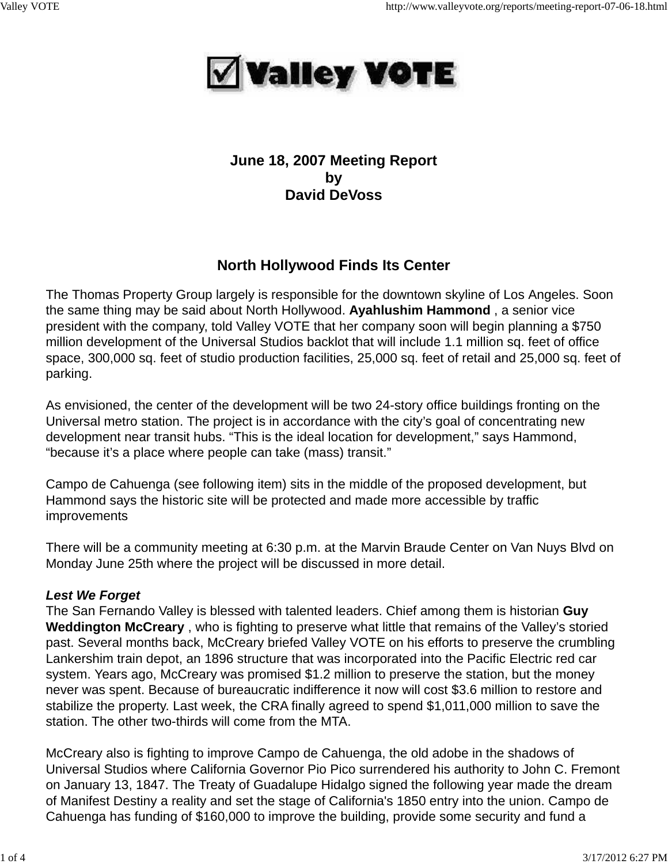

## **June 18, 2007 Meeting Report by David DeVoss**

# **North Hollywood Finds Its Center**

The Thomas Property Group largely is responsible for the downtown skyline of Los Angeles. Soon the same thing may be said about North Hollywood. **Ayahlushim Hammond** , a senior vice president with the company, told Valley VOTE that her company soon will begin planning a \$750 million development of the Universal Studios backlot that will include 1.1 million sq. feet of office space, 300,000 sq. feet of studio production facilities, 25,000 sq. feet of retail and 25,000 sq. feet of parking.

As envisioned, the center of the development will be two 24-story office buildings fronting on the Universal metro station. The project is in accordance with the city's goal of concentrating new development near transit hubs. "This is the ideal location for development," says Hammond, "because it's a place where people can take (mass) transit."

Campo de Cahuenga (see following item) sits in the middle of the proposed development, but Hammond says the historic site will be protected and made more accessible by traffic improvements

There will be a community meeting at 6:30 p.m. at the Marvin Braude Center on Van Nuys Blvd on Monday June 25th where the project will be discussed in more detail.

## *Lest We Forget*

The San Fernando Valley is blessed with talented leaders. Chief among them is historian **Guy Weddington McCreary** , who is fighting to preserve what little that remains of the Valley's storied past. Several months back, McCreary briefed Valley VOTE on his efforts to preserve the crumbling Lankershim train depot, an 1896 structure that was incorporated into the Pacific Electric red car system. Years ago, McCreary was promised \$1.2 million to preserve the station, but the money never was spent. Because of bureaucratic indifference it now will cost \$3.6 million to restore and stabilize the property. Last week, the CRA finally agreed to spend \$1,011,000 million to save the station. The other two-thirds will come from the MTA.

McCreary also is fighting to improve Campo de Cahuenga, the old adobe in the shadows of Universal Studios where California Governor Pio Pico surrendered his authority to John C. Fremont on January 13, 1847. The Treaty of Guadalupe Hidalgo signed the following year made the dream of Manifest Destiny a reality and set the stage of California's 1850 entry into the union. Campo de Cahuenga has funding of \$160,000 to improve the building, provide some security and fund a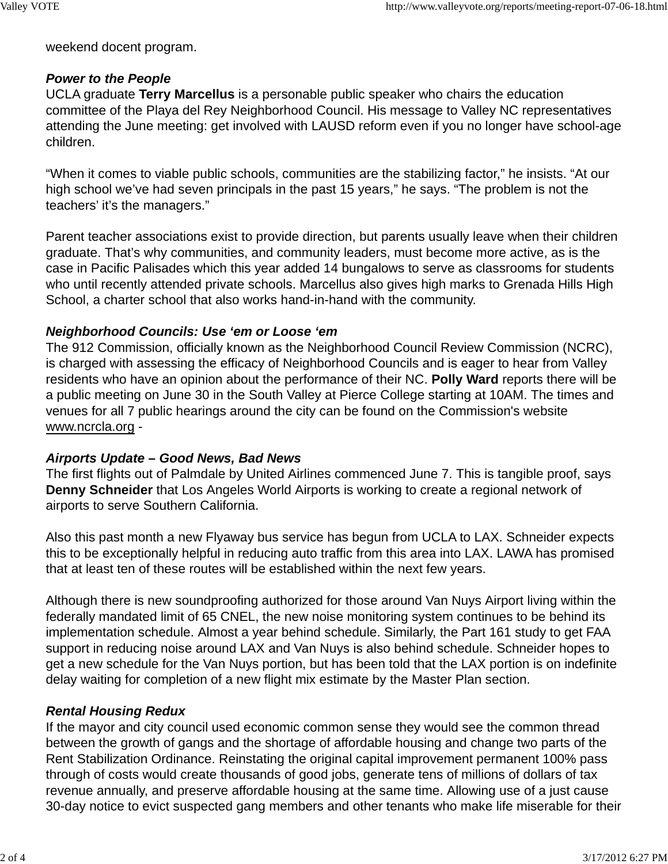weekend docent program.

### *Power to the People*

UCLA graduate **Terry Marcellus** is a personable public speaker who chairs the education committee of the Playa del Rey Neighborhood Council. His message to Valley NC representatives attending the June meeting: get involved with LAUSD reform even if you no longer have school-age children.

"When it comes to viable public schools, communities are the stabilizing factor," he insists. "At our high school we've had seven principals in the past 15 years," he says. "The problem is not the teachers' it's the managers."

Parent teacher associations exist to provide direction, but parents usually leave when their children graduate. That's why communities, and community leaders, must become more active, as is the case in Pacific Palisades which this year added 14 bungalows to serve as classrooms for students who until recently attended private schools. Marcellus also gives high marks to Grenada Hills High School, a charter school that also works hand-in-hand with the community.

### *Neighborhood Councils: Use 'em or Loose 'em*

The 912 Commission, officially known as the Neighborhood Council Review Commission (NCRC), is charged with assessing the efficacy of Neighborhood Councils and is eager to hear from Valley residents who have an opinion about the performance of their NC. **Polly Ward** reports there will be a public meeting on June 30 in the South Valley at Pierce College starting at 10AM. The times and venues for all 7 public hearings around the city can be found on the Commission's website www.ncrcla.org -

### *Airports Update – Good News, Bad News*

The first flights out of Palmdale by United Airlines commenced June 7. This is tangible proof, says **Denny Schneider** that Los Angeles World Airports is working to create a regional network of airports to serve Southern California.

Also this past month a new Flyaway bus service has begun from UCLA to LAX. Schneider expects this to be exceptionally helpful in reducing auto traffic from this area into LAX. LAWA has promised that at least ten of these routes will be established within the next few years.

Although there is new soundproofing authorized for those around Van Nuys Airport living within the federally mandated limit of 65 CNEL, the new noise monitoring system continues to be behind its implementation schedule. Almost a year behind schedule. Similarly, the Part 161 study to get FAA support in reducing noise around LAX and Van Nuys is also behind schedule. Schneider hopes to get a new schedule for the Van Nuys portion, but has been told that the LAX portion is on indefinite delay waiting for completion of a new flight mix estimate by the Master Plan section.

### *Rental Housing Redux*

If the mayor and city council used economic common sense they would see the common thread between the growth of gangs and the shortage of affordable housing and change two parts of the Rent Stabilization Ordinance. Reinstating the original capital improvement permanent 100% pass through of costs would create thousands of good jobs, generate tens of millions of dollars of tax revenue annually, and preserve affordable housing at the same time. Allowing use of a just cause 30-day notice to evict suspected gang members and other tenants who make life miserable for their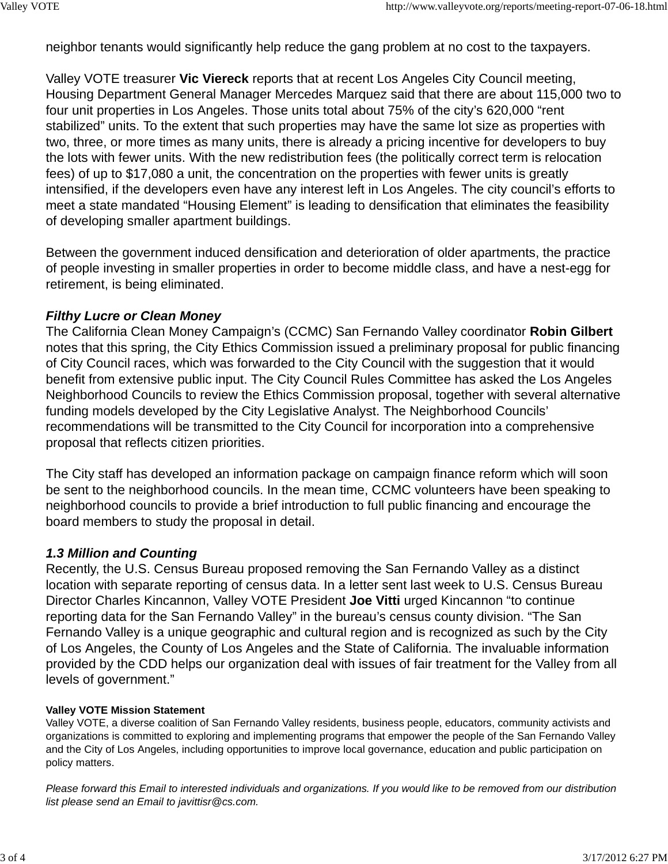neighbor tenants would significantly help reduce the gang problem at no cost to the taxpayers.

Valley VOTE treasurer **Vic Viereck** reports that at recent Los Angeles City Council meeting, Housing Department General Manager Mercedes Marquez said that there are about 115,000 two to four unit properties in Los Angeles. Those units total about 75% of the city's 620,000 "rent stabilized" units. To the extent that such properties may have the same lot size as properties with two, three, or more times as many units, there is already a pricing incentive for developers to buy the lots with fewer units. With the new redistribution fees (the politically correct term is relocation fees) of up to \$17,080 a unit, the concentration on the properties with fewer units is greatly intensified, if the developers even have any interest left in Los Angeles. The city council's efforts to meet a state mandated "Housing Element" is leading to densification that eliminates the feasibility of developing smaller apartment buildings.

Between the government induced densification and deterioration of older apartments, the practice of people investing in smaller properties in order to become middle class, and have a nest-egg for retirement, is being eliminated.

#### *Filthy Lucre or Clean Money*

The California Clean Money Campaign's (CCMC) San Fernando Valley coordinator **Robin Gilbert** notes that this spring, the City Ethics Commission issued a preliminary proposal for public financing of City Council races, which was forwarded to the City Council with the suggestion that it would benefit from extensive public input. The City Council Rules Committee has asked the Los Angeles Neighborhood Councils to review the Ethics Commission proposal, together with several alternative funding models developed by the City Legislative Analyst. The Neighborhood Councils' recommendations will be transmitted to the City Council for incorporation into a comprehensive proposal that reflects citizen priorities.

The City staff has developed an information package on campaign finance reform which will soon be sent to the neighborhood councils. In the mean time, CCMC volunteers have been speaking to neighborhood councils to provide a brief introduction to full public financing and encourage the board members to study the proposal in detail.

### *1.3 Million and Counting*

Recently, the U.S. Census Bureau proposed removing the San Fernando Valley as a distinct location with separate reporting of census data. In a letter sent last week to U.S. Census Bureau Director Charles Kincannon, Valley VOTE President **Joe Vitti** urged Kincannon "to continue reporting data for the San Fernando Valley" in the bureau's census county division. "The San Fernando Valley is a unique geographic and cultural region and is recognized as such by the City of Los Angeles, the County of Los Angeles and the State of California. The invaluable information provided by the CDD helps our organization deal with issues of fair treatment for the Valley from all levels of government."

#### **Valley VOTE Mission Statement**

Valley VOTE, a diverse coalition of San Fernando Valley residents, business people, educators, community activists and organizations is committed to exploring and implementing programs that empower the people of the San Fernando Valley and the City of Los Angeles, including opportunities to improve local governance, education and public participation on policy matters.

*Please forward this Email to interested individuals and organizations. If you would like to be removed from our distribution list please send an Email to javittisr@cs.com.*